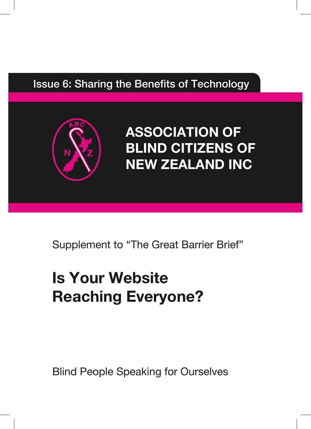# Issue 6: Sharing the Benefits of Technology



**ASSOCIATION OF BLIND CITIZENS OF NEW ZEALAND INC**

Supplement to "The Great Barrier Brief"

# **Is Your Website Reaching Everyone?**

Blind People Speaking for Ourselves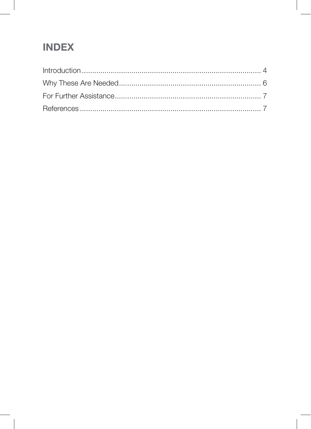### **INDEX**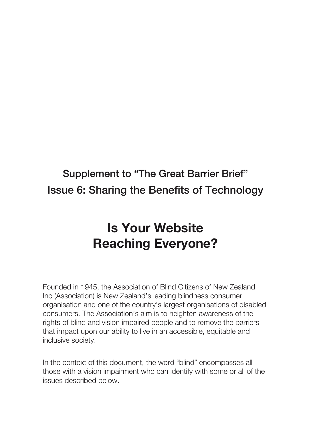# Supplement to "The Great Barrier Brief" Issue 6: Sharing the Benefits of Technology

# **Is Your Website Reaching Everyone?**

Founded in 1945, the Association of Blind Citizens of New Zealand Inc (Association) is New Zealand's leading blindness consumer organisation and one of the country's largest organisations of disabled consumers. The Association's aim is to heighten awareness of the rights of blind and vision impaired people and to remove the barriers that impact upon our ability to live in an accessible, equitable and inclusive society.

In the context of this document, the word "blind" encompasses all those with a vision impairment who can identify with some or all of the issues described below.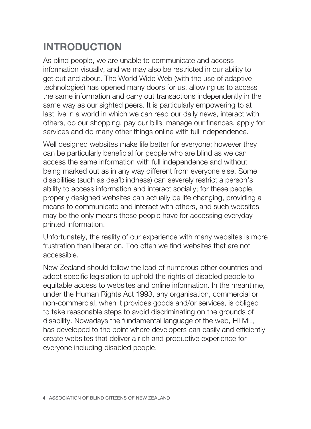# **INTRODUCTION**

As blind people, we are unable to communicate and access information visually, and we may also be restricted in our ability to get out and about. The World Wide Web (with the use of adaptive technologies) has opened many doors for us, allowing us to access the same information and carry out transactions independently in the same way as our sighted peers. It is particularly empowering to at last live in a world in which we can read our daily news, interact with others, do our shopping, pay our bills, manage our finances, apply for services and do many other things online with full independence.

Well designed websites make life better for everyone; however they can be particularly beneficial for people who are blind as we can access the same information with full independence and without being marked out as in any way different from everyone else. Some disabilities (such as deafblindness) can severely restrict a person's ability to access information and interact socially; for these people, properly designed websites can actually be life changing, providing a means to communicate and interact with others, and such websites may be the only means these people have for accessing everyday printed information.

Unfortunately, the reality of our experience with many websites is more frustration than liberation. Too often we find websites that are not accessible.

New Zealand should follow the lead of numerous other countries and adopt specific legislation to uphold the rights of disabled people to equitable access to websites and online information. In the meantime, under the Human Rights Act 1993, any organisation, commercial or non-commercial, when it provides goods and/or services, is obliged to take reasonable steps to avoid discriminating on the grounds of disability. Nowadays the fundamental language of the web, HTML, has developed to the point where developers can easily and efficiently create websites that deliver a rich and productive experience for everyone including disabled people.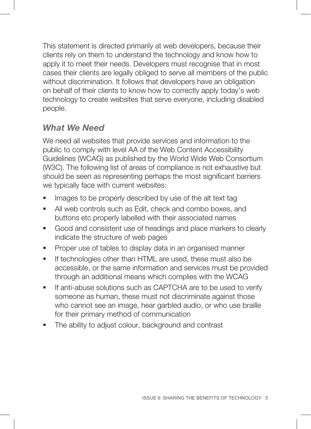This statement is directed primarily at web developers, because their clients rely on them to understand the technology and know how to apply it to meet their needs. Developers must recognise that in most cases their clients are legally obliged to serve all members of the public without discrimination. It follows that developers have an obligation on behalf of their clients to know how to correctly apply today's web technology to create websites that serve everyone, including disabled people.

#### *What We Need*

We need all websites that provide services and information to the public to comply with level AA of the Web Content Accessibility Guidelines (WCAG) as published by the World Wide Web Consortium (W3C). The following list of areas of compliance is not exhaustive but should be seen as representing perhaps the most significant barriers we typically face with current websites:

- Images to be properly described by use of the alt text tag
- All web controls such as Edit, check and combo boxes, and buttons etc properly labelled with their associated names
- Good and consistent use of headings and place markers to clearly indicate the structure of web pages
- **Proper use of tables to display data in an organised manner**
- **If technologies other than HTML are used, these must also be** accessible, or the same information and services must be provided through an additional means which complies with the WCAG
- If anti-abuse solutions such as CAPTCHA are to be used to verify someone as human, these must not discriminate against those who cannot see an image, hear garbled audio, or who use braille for their primary method of communication
- The ability to adjust colour, background and contrast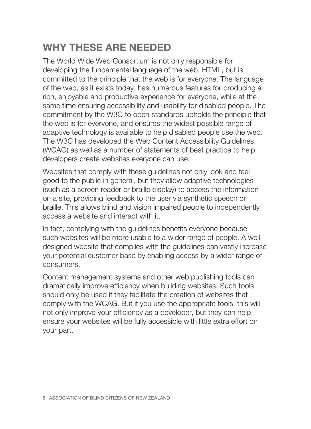### **WHY THESE ARE NEEDED**

The World Wide Web Consortium is not only responsible for developing the fundamental language of the web, HTML, but is committed to the principle that the web is for everyone. The language of the web, as it exists today, has numerous features for producing a rich, enjoyable and productive experience for everyone, while at the same time ensuring accessibility and usability for disabled people. The commitment by the W3C to open standards upholds the principle that the web is for everyone, and ensures the widest possible range of adaptive technology is available to help disabled people use the web. The W3C has developed the Web Content Accessibility Guidelines (WCAG) as well as a number of statements of best practice to help developers create websites everyone can use.

Websites that comply with these guidelines not only look and feel good to the public in general, but they allow adaptive technologies (such as a screen reader or braille display) to access the information on a site, providing feedback to the user via synthetic speech or braille. This allows blind and vision impaired people to independently access a website and interact with it.

In fact, complying with the guidelines benefits everyone because such websites will be more usable to a wider range of people. A well designed website that complies with the guidelines can vastly increase your potential customer base by enabling access by a wider range of consumers.

Content management systems and other web publishing tools can dramatically improve efficiency when building websites. Such tools should only be used if they facilitate the creation of websites that comply with the WCAG. But if you use the appropriate tools, this will not only improve your efficiency as a developer, but they can help ensure your websites will be fully accessible with little extra effort on your part.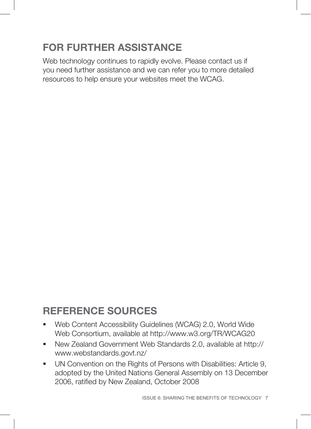# **FOR FURTHER ASSISTANCE**

Web technology continues to rapidly evolve. Please contact us if you need further assistance and we can refer you to more detailed resources to help ensure your websites meet the WCAG.

# **REFERENCE SOURCES**

- Web Content Accessibility Guidelines (WCAG) 2.0, World Wide Web Consortium, available at http://www.w3.org/TR/WCAG20
- New Zealand Government Web Standards 2.0, available at http:// www.webstandards.govt.nz/
- UN Convention on the Rights of Persons with Disabilities: Article 9, adopted by the United Nations General Assembly on 13 December 2006, ratified by New Zealand, October 2008